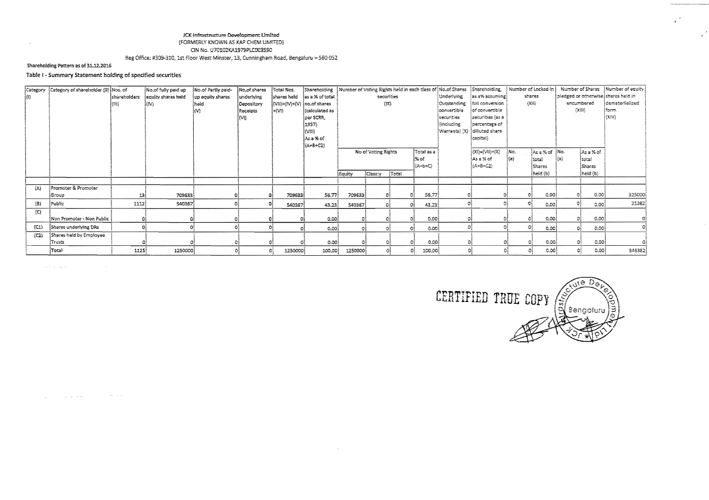## JCK Infrastructure Development Limited

(FORMERLY KNOWN AS KAP CHEM LIMITED) CIN No. U70102KA1979PLC003590

Reg Office: #309-310, 1st Floor West Minster, 13, Cunningham Road, Bengaluru - 560 052

## Shareholding Pattern as of 31.12.2016

 $\sim$ 

## Table I - Summary Statement holding of specified securities

|         | Category Category of shareholder (ii) Nos. of |               | No.of fully paid up | No.of Partly paid- | Mo.of shares | Total Nos.                                                    |                              |                             |               |       |                    |                   | Shareholding  Number of Voting Rights held in each ziass of  No.of Shares  Shareholding,     Number of Locked in |        |               |                                      |             | Number of Shares   Number of equity |
|---------|-----------------------------------------------|---------------|---------------------|--------------------|--------------|---------------------------------------------------------------|------------------------------|-----------------------------|---------------|-------|--------------------|-------------------|------------------------------------------------------------------------------------------------------------------|--------|---------------|--------------------------------------|-------------|-------------------------------------|
| (4)     |                                               | İshareholders | equity shares held  | up equity shares   | underlying   |                                                               | shares held jas a % of total | securities                  |               |       |                    | <b>Underlying</b> | $\{$ as a% assuming $\}$                                                                                         | shares |               | pledged or otherwise) shares held in |             |                                     |
|         |                                               | 翻             | (M)                 | held               | Depository   | $\{ \text{VII}  =   \text{VI}  +  \text{VI}  \}$ no.of shares |                              | $\{xx\}$                    |               |       |                    | Outstanding       | full conversion                                                                                                  | (XW)   |               | encumbered                           |             | dematerlialized                     |
|         |                                               |               |                     | M                  | Receipts     | l∻{VB                                                         | (calculated as               |                             |               |       |                    | lconvertible      | }of convertible                                                                                                  |        |               | $[\lambda331]$                       |             | Form                                |
|         |                                               |               |                     |                    | [M]          |                                                               | per SCRR.                    |                             |               |       |                    | securities        | securities (as a                                                                                                 |        |               |                                      |             | loavi                               |
|         |                                               |               |                     |                    |              |                                                               | 1957)                        |                             |               |       |                    | (induding         | (percentage of                                                                                                   |        |               |                                      |             |                                     |
|         |                                               |               |                     |                    |              |                                                               | itvan                        |                             |               |       |                    |                   | [Warrants] (X)  dilluted share                                                                                   |        |               |                                      |             |                                     |
|         |                                               |               |                     |                    |              |                                                               | ¦Asa%of                      |                             |               |       |                    |                   | lcapital).                                                                                                       |        |               |                                      |             |                                     |
|         |                                               |               |                     |                    |              |                                                               | (A+8+C2)                     | No of Voting Rights         |               |       |                    |                   |                                                                                                                  |        |               |                                      |             |                                     |
|         |                                               |               |                     |                    |              |                                                               |                              |                             |               |       | rotal as a<br>i‰of |                   | $(X1) = (V11) + (X)$                                                                                             | iNo.   | As a % of No. |                                      | ¦As a % of  |                                     |
|         |                                               |               |                     |                    |              |                                                               |                              |                             |               |       | ¦{A∸b÷C}           |                   | ∲Asa%∹of<br>(A+8+C2)                                                                                             | }(a)   | itotai        | $\{a\}$                              | total       |                                     |
|         |                                               |               |                     |                    |              |                                                               |                              |                             |               |       |                    |                   |                                                                                                                  |        | Shares        |                                      | Shares      |                                     |
|         |                                               |               |                     |                    |              |                                                               |                              | Equity                      | <b>Cassty</b> | Total |                    |                   |                                                                                                                  |        | (heid (b)     |                                      | heid (b)    |                                     |
| $\{A\}$ | Promoter & Promoter                           |               |                     |                    |              |                                                               |                              |                             |               |       |                    |                   |                                                                                                                  |        |               |                                      |             |                                     |
|         | Group                                         | 13)           | 7096331             |                    |              | 709633                                                        | 56.77                        | 709633                      |               |       | 56.77              |                   |                                                                                                                  |        | 0.001         |                                      | -0.00       | 325000                              |
| $(B)$   | Public                                        | 2112          | 540367              |                    |              | 540367                                                        | 43.23                        | 540367                      | 233           |       | 43.23<br>Oi.       |                   |                                                                                                                  |        | 0.00          |                                      | 0.00        | 21382                               |
| (C)     |                                               |               |                     |                    |              |                                                               |                              |                             |               |       |                    |                   |                                                                                                                  |        |               |                                      |             |                                     |
|         | Non Promoter - Non Public                     |               |                     |                    |              |                                                               | 0.00                         |                             |               |       | 0.00               |                   |                                                                                                                  |        | 0.00          |                                      | 0.00        |                                     |
| (C1)    | Shares underlying DRs                         |               |                     |                    |              |                                                               | 0.00)                        |                             |               |       | 0.00<br>教え         |                   |                                                                                                                  |        | 0.00          | Đì                                   | 0.001       |                                     |
| (C2)    | Shares held by Employee                       |               |                     |                    |              |                                                               |                              |                             |               |       |                    |                   |                                                                                                                  |        |               |                                      |             |                                     |
|         | Trusts                                        |               |                     |                    |              |                                                               | 0.00                         | $\mathcal{F}_{\mathcal{S}}$ |               |       | -0.00              |                   |                                                                                                                  |        | 0.00          |                                      | 0.00<br>0î  |                                     |
|         | Total                                         | 1125          | 1250000             |                    |              | 1250000                                                       | 100.00                       | 1250000                     |               |       | 100.00<br>$\Omega$ |                   |                                                                                                                  |        | 0.00          |                                      | 0.00<br>-O3 | 346382                              |

 $\sim 10^{-1}$ 

. The contract of the second contract  $\mathcal{L}^{\mathcal{L}}$  , where  $\mathcal{L}^{\mathcal{L}}$ 

 $\mathcal{L}_{\text{max}}$  and the contract  $\mathcal{L}_{\text{max}}$  and  $\mathcal{L}_{\text{max}}$ 

 $\Theta_{II}$ CERTIFIED TRUE COPY  $\sqrt{\frac{2}{9}}$ Bengaluru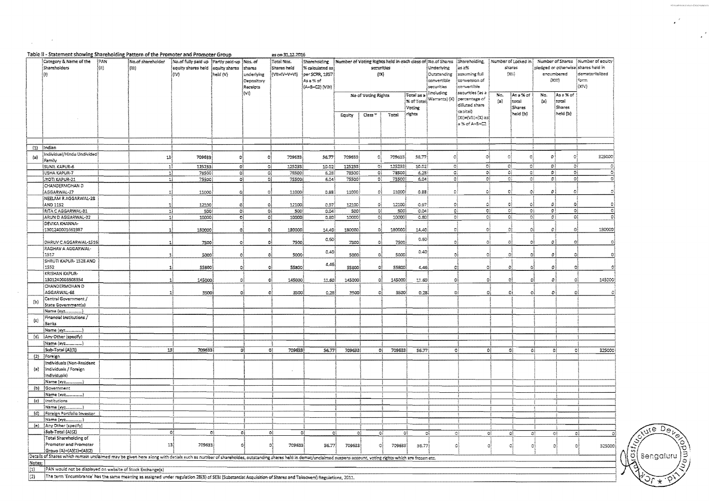|                     | Table II - Statement showing Shareholding Pattern of the Promoter and Promoter Group                                                                                                                         |      |                   | Number of Voting Rights held in each class of Mo. of Shares   Shareholding,<br>  Number of Locked in }<br>Number of Shares |                      |                                  |                 |                    |                 |                     |                  |               |                              |                                 |         |                            |                       |           |                   |          |
|---------------------|--------------------------------------------------------------------------------------------------------------------------------------------------------------------------------------------------------------|------|-------------------|----------------------------------------------------------------------------------------------------------------------------|----------------------|----------------------------------|-----------------|--------------------|-----------------|---------------------|------------------|---------------|------------------------------|---------------------------------|---------|----------------------------|-----------------------|-----------|-------------------|----------|
|                     | Category & Name of the                                                                                                                                                                                       | {PAN | No.of shareholder | No.of fully paid up (Partly paid-up )Nos. of                                                                               |                      |                                  | Total Mos.      | Shareholding       |                 |                     |                  |               |                              |                                 |         |                            |                       |           | (Number of equity |          |
|                     | Shareholders                                                                                                                                                                                                 | (a)  | (BB)              | equity shares held                                                                                                         | equity shares shares |                                  | Shares held     | ∤% calculated as { |                 | securities          |                  |               | Underlying                   | las a%                          |         | shares                     | pladged or otherwise) |           | shares held in    |          |
|                     | lo).                                                                                                                                                                                                         |      |                   | inn.                                                                                                                       | heid (V)             | ussberlying                      | (WEN-V-VI)      | per SCRR, 1957     | $\{xx\}$        |                     |                  |               | Outstanding                  | essuning hel                    | [Xi]    |                            | encumbered            |           | demateriialized   |          |
|                     |                                                                                                                                                                                                              |      |                   |                                                                                                                            |                      | Depository                       |                 | As a % of          |                 |                     |                  |               | convertible                  | (conversion of                  |         |                            | (233)                 |           | form              |          |
|                     |                                                                                                                                                                                                              |      |                   |                                                                                                                            |                      | Receipts                         |                 | (A+B+C2) (V3H)     |                 |                     |                  |               | securicies                   | convertible                     |         |                            |                       |           | (XIV)             |          |
|                     |                                                                                                                                                                                                              |      |                   |                                                                                                                            |                      | $\{V1\}$                         |                 |                    |                 | No of Voting Rights |                  | Total as a    | inducting                    | secunides fas a                 | No.     | Asa%of                     | No.                   | ¦As ≥% of |                   |          |
|                     |                                                                                                                                                                                                              |      |                   |                                                                                                                            |                      |                                  |                 |                    |                 |                     |                  | % of Total    | $\{X\}$ (Warrants) $\{X\}$ . | percentage of<br>diffuted share | $\{2\}$ | total                      | $\{2\}$               | totai     |                   |          |
|                     |                                                                                                                                                                                                              |      |                   |                                                                                                                            |                      |                                  |                 |                    |                 |                     |                  | Voting        |                              | catical)                        |         | Shares                     |                       | Shares    |                   |          |
|                     |                                                                                                                                                                                                              |      |                   |                                                                                                                            |                      |                                  |                 |                    | Equity          | Cass <sup>®</sup>   | Total            | rights        |                              | (XI)={VII}+(X) as{              |         | heid (b)                   |                       | held (b)  |                   |          |
|                     |                                                                                                                                                                                                              |      |                   |                                                                                                                            |                      |                                  |                 |                    |                 |                     |                  |               |                              | ≥ కు ల్య-కి÷Ω                   |         |                            |                       |           |                   |          |
|                     |                                                                                                                                                                                                              |      |                   |                                                                                                                            |                      |                                  |                 |                    |                 |                     |                  |               |                              |                                 |         |                            |                       |           |                   |          |
|                     |                                                                                                                                                                                                              |      |                   |                                                                                                                            |                      |                                  |                 |                    |                 |                     |                  |               |                              |                                 |         |                            |                       |           |                   |          |
|                     |                                                                                                                                                                                                              |      |                   |                                                                                                                            |                      |                                  |                 |                    |                 |                     |                  |               |                              |                                 |         |                            |                       |           |                   |          |
|                     | (1) Indian                                                                                                                                                                                                   |      |                   |                                                                                                                            |                      |                                  |                 |                    |                 |                     |                  |               |                              |                                 |         |                            |                       |           |                   |          |
| $\{E\}$             | Individual/Hindu Undivided                                                                                                                                                                                   |      | 븨                 | 709633                                                                                                                     | Đ,                   | -o)                              | 709633          | 56.77              | 709633          | ್ಯ                  | 709633           | 55.77         | GŠ                           | -oļ                             | $\circ$ | $\mathbf{C}$               | $\boldsymbol{v}$      | -ol       |                   | 325000)  |
|                     | Family                                                                                                                                                                                                       |      |                   |                                                                                                                            |                      |                                  |                 |                    |                 |                     |                  |               |                              |                                 |         | ₹Î                         |                       |           |                   |          |
|                     | <b>ISUNIL KAPUR-6</b><br>USHA KAPUR-7                                                                                                                                                                        |      | 11                | 125233                                                                                                                     | -Gļ                  | ĐÍ                               | 125233<br>78500 | 10.02              | 125233          | ĐÎ.<br>$\Omega_2^1$ | 125233<br>78500) | 10.02<br>6.28 | O)<br>O,                     | G)<br>$\mathbb{G}_2^2$          |         | ٥l<br>۵ł<br>Đ.             | οţ<br>sł              | 避<br>-6}  |                   | Φį<br>ত্ |
|                     | (JYOTI KAPUR-21                                                                                                                                                                                              |      | -11<br>최          | 78500<br>75500                                                                                                             | ٥į<br>-oļ            | Ø.<br>Đ.                         | 75500           | 5.28<br>6.04       | 78500<br>75500) | S.                  | 75500            | 6.04          | ۵ŧ                           | Θĺ                              |         | -8\$<br>-c1                | 毒素                    | -01       |                   | -C{      |
|                     | CHANDERMOHAN D                                                                                                                                                                                               |      |                   |                                                                                                                            |                      |                                  |                 |                    |                 |                     |                  |               |                              |                                 |         |                            |                       |           |                   |          |
|                     | (AGGARWAL-27                                                                                                                                                                                                 |      | -11               | 11000                                                                                                                      | 0Î                   | $\mathbb{G}$                     | 11000           | 0.88               | 11000           | αį                  | 11000            | 0.33          | οĮ                           | Đ,                              | C.      | O,                         | οļ                    | ĐĮ        |                   | ್        |
|                     | NEELAM R AGGARWAL-28                                                                                                                                                                                         |      |                   |                                                                                                                            |                      |                                  |                 |                    |                 |                     |                  |               |                              |                                 |         |                            |                       |           |                   |          |
|                     | and 1152                                                                                                                                                                                                     |      | -11               | 12100                                                                                                                      | οį                   | -O)                              | 12100           | 0.97               | 12100           | -9ì                 | 12100            | 0.97          | Оŧ                           | ß.                              | o       | O)                         | a.                    | ٥ł        |                   | -01      |
|                     | RITA CAGGARWAL-31                                                                                                                                                                                            |      | -11               | 500                                                                                                                        | $\mathbf{O}$         | $\mathbf{G}_2^T$                 | 500             | 0.04               | 500             | G)                  | 500              | 0.04          | $\mathbb{Q}_2^+$             | O)                              |         | ÐÏ<br>٥į                   | -e î                  | οļ        |                   | ٥ļ       |
|                     | arun d aggarwal-32                                                                                                                                                                                           |      | 11                | 10000                                                                                                                      | -ol                  | O,                               | 10000           | 0.80               | 10000           | ರಿಕೆ                | 10000            | 0.80)         | $\mathbf{G}_i^{\mathbb{R}}$  | ٥ł                              |         | $\sigma$<br>O <sub>2</sub> | ĐÎ.                   | $\Omega$  |                   | 이        |
|                     | DEVIKA KHANNA-                                                                                                                                                                                               |      |                   |                                                                                                                            |                      |                                  |                 |                    |                 |                     |                  |               |                              |                                 |         |                            |                       |           |                   |          |
|                     | 1301240001661987                                                                                                                                                                                             |      | 초                 | 180000                                                                                                                     | υl                   | Đ.                               | 120000          | 24.40              | 180000          | ٥Î                  | 180000           | 14.40         | e!                           | ಈ                               |         | G.<br>-C)                  | οļ                    | -ai       |                   | 180000   |
|                     |                                                                                                                                                                                                              |      |                   |                                                                                                                            |                      |                                  |                 | 0.60               |                 |                     |                  | 0.53          |                              |                                 |         |                            |                       |           |                   |          |
|                     | DHRUV CAGGARWAL-1516                                                                                                                                                                                         |      |                   | 7500                                                                                                                       | oļ                   | -G)                              | 7500            |                    | 7500            | ٥į                  | 7500             |               | 국                            | -91                             | -G)     | Ø.                         | $\Omega$              | G         |                   | Ð        |
|                     | RAGHAV A AGGARWAL-                                                                                                                                                                                           |      |                   |                                                                                                                            |                      |                                  |                 | 0.40               |                 |                     |                  | همه           |                              |                                 |         |                            |                       |           |                   |          |
|                     | 1517<br>(Shruti Kapur- 1528 and                                                                                                                                                                              |      | X.                | 5000                                                                                                                       | 0Į                   | -91                              | 5000            |                    | 5000            | O.                  | 5000             |               | 더                            | -98                             |         | ٥ł<br>٥                    | $\mathcal{O}$         | Ø.        |                   | -01      |
|                     | 1552                                                                                                                                                                                                         |      | $\mathbf{1}$      | 55800                                                                                                                      | ٥                    | -48                              | 55800           | 4.45               | 55800           | 创造                  | ssecol           | 4,45          | C.                           | -of                             |         | O.<br>ō                    | Đ.                    | ЮĬ        |                   | O        |
|                     | KRISHAN KAPUR-                                                                                                                                                                                               |      |                   |                                                                                                                            |                      |                                  |                 |                    |                 |                     |                  |               |                              |                                 |         |                            |                       |           |                   |          |
|                     | 1301240003508354                                                                                                                                                                                             |      | 1                 | 145000                                                                                                                     | -81                  | - ol                             | 145000          | 11.60              | 145000          | O.                  | 145000           | 끄.53          | O)                           |                                 | -ol     | Đ.<br>33                   | $\mathcal{D}$         | ŌÌ.       |                   | 145000   |
|                     | CHANDERMOHAN D                                                                                                                                                                                               |      |                   |                                                                                                                            |                      |                                  |                 |                    |                 |                     |                  |               |                              |                                 |         |                            |                       |           |                   |          |
|                     | AGGARWAL-68                                                                                                                                                                                                  |      | $\mathbf{1}$      | 3500)                                                                                                                      | -ol                  | - 13                             | 3500            | 0.28               | 2500            | - Cal               | 3500             | 0.23          | -51                          |                                 | οî      | ٥i<br>Фİ                   | Đ.                    | Δł        |                   | Oš       |
| $\{b\}$             | Central Government /                                                                                                                                                                                         |      |                   |                                                                                                                            |                      |                                  |                 |                    |                 |                     |                  |               |                              |                                 |         |                            |                       |           |                   |          |
|                     | State Government(s)                                                                                                                                                                                          |      |                   |                                                                                                                            |                      |                                  |                 |                    |                 |                     |                  |               |                              |                                 |         |                            |                       |           |                   |          |
|                     | Name {xy2.______}                                                                                                                                                                                            |      |                   |                                                                                                                            |                      |                                  |                 |                    |                 |                     |                  |               |                              |                                 |         |                            |                       |           |                   |          |
| $\langle c \rangle$ | Financial Institutions /                                                                                                                                                                                     |      |                   |                                                                                                                            |                      |                                  |                 |                    |                 |                     |                  |               |                              |                                 |         |                            |                       |           |                   |          |
|                     | <b>Banks</b>                                                                                                                                                                                                 |      |                   |                                                                                                                            |                      |                                  |                 |                    |                 |                     |                  |               |                              |                                 |         |                            |                       |           |                   |          |
|                     |                                                                                                                                                                                                              |      |                   |                                                                                                                            |                      |                                  |                 |                    |                 |                     |                  |               |                              |                                 |         |                            |                       |           |                   |          |
|                     | (d)   Any Other (specify)                                                                                                                                                                                    |      |                   |                                                                                                                            |                      |                                  |                 |                    |                 |                     |                  |               |                              |                                 |         |                            |                       |           |                   |          |
|                     | Mame (xyz<br>a an<br>Sub-Total (A)(1)                                                                                                                                                                        |      | 131               | 709633                                                                                                                     |                      | $\mathbb{C}^{\frac{1}{2}}$<br>οŧ | 709633          |                    |                 |                     | 709633           |               |                              |                                 | ĐÌ      | ٥į                         |                       |           |                   | 325000   |
| $\{2\}$             | Foreign                                                                                                                                                                                                      |      |                   |                                                                                                                            |                      |                                  |                 | 56.77              | 709633)         | Oł.                 |                  | 56.77         |                              | $\mathbb{E}$                    |         | ٥Į                         |                       | ۵ł        | -ol               |          |
|                     | Individuals (Non-Resident                                                                                                                                                                                    |      |                   |                                                                                                                            |                      |                                  |                 |                    |                 |                     |                  |               |                              |                                 |         |                            |                       |           |                   |          |
| {a}                 | Individuals / Foreign                                                                                                                                                                                        |      |                   |                                                                                                                            |                      |                                  |                 |                    |                 |                     |                  |               |                              |                                 |         |                            |                       |           |                   |          |
|                     | Individuals)                                                                                                                                                                                                 |      |                   |                                                                                                                            |                      |                                  |                 |                    |                 |                     |                  |               |                              |                                 |         |                            |                       |           |                   |          |
|                     | Name (xyz                                                                                                                                                                                                    |      |                   |                                                                                                                            |                      |                                  |                 |                    |                 |                     |                  |               |                              |                                 |         |                            |                       |           |                   |          |
| (b)                 | Government                                                                                                                                                                                                   |      |                   |                                                                                                                            |                      |                                  |                 |                    |                 |                     |                  |               |                              |                                 |         |                            |                       |           |                   |          |
|                     | Name (xyz                                                                                                                                                                                                    |      |                   |                                                                                                                            |                      |                                  |                 |                    |                 |                     |                  |               |                              |                                 |         |                            |                       |           |                   |          |
| (c)                 | Institutions                                                                                                                                                                                                 |      |                   |                                                                                                                            |                      |                                  |                 |                    |                 |                     |                  |               |                              |                                 |         |                            |                       |           |                   |          |
|                     | Name (xyz)                                                                                                                                                                                                   |      |                   |                                                                                                                            |                      |                                  |                 |                    |                 |                     |                  |               |                              |                                 |         |                            |                       |           |                   |          |
|                     | (d) Foreign Portfolio Investor                                                                                                                                                                               |      |                   |                                                                                                                            |                      |                                  |                 |                    |                 |                     |                  |               |                              |                                 |         |                            |                       |           |                   |          |
|                     | Name (xyz                                                                                                                                                                                                    |      |                   |                                                                                                                            |                      |                                  |                 |                    |                 |                     |                  |               |                              |                                 |         |                            |                       |           |                   |          |
|                     | (e) {Any Other (specify)<br>Sub-Total (A)(2)                                                                                                                                                                 |      |                   |                                                                                                                            |                      |                                  |                 |                    |                 |                     |                  |               |                              |                                 |         |                            |                       |           |                   |          |
|                     | Total Shareholding of                                                                                                                                                                                        |      | 0Î                | οł                                                                                                                         |                      | ٥l                               | ٥ł<br>۵l        | ٥ŝ                 | -28             | $\mathbb{O}^2_0$    | 好                |               | O)                           | $\mathbb{Q}_1^2$                | Oj      | ٥į<br>ĐĮ.                  |                       | ٥ł        | αł                | $\Omega$ |
|                     | Promoter and Promoter                                                                                                                                                                                        |      | 23                | 709633                                                                                                                     |                      | ٥                                | 709633          | 56.77              | 709533          | -ci                 | 709533           |               | ó                            |                                 |         | -al                        |                       |           |                   | 325000   |
|                     | Group (A)=(A)(1)+(A)(2)                                                                                                                                                                                      |      |                   |                                                                                                                            |                      |                                  |                 |                    |                 |                     |                  | 55.77         |                              |                                 | -31     | $\Omega$                   |                       | Đ,<br>Ø.  |                   |          |
|                     | Details of Shares which remain unclaimed may be given here along with detials such as number of shareholdes, outstanding shares held in demat/unclaimed suspens account, voting rights which are frozen etc. |      |                   |                                                                                                                            |                      |                                  |                 |                    |                 |                     |                  |               |                              |                                 |         |                            |                       |           |                   |          |
| Notes:              |                                                                                                                                                                                                              |      |                   |                                                                                                                            |                      |                                  |                 |                    |                 |                     |                  |               |                              |                                 |         |                            |                       |           |                   |          |
| $\{3\}$             | [PAN would not be displayed on website of Stock Exchange(s)                                                                                                                                                  |      |                   |                                                                                                                            |                      |                                  |                 |                    |                 |                     |                  |               |                              |                                 |         |                            |                       |           |                   |          |



 $\Delta$ 

 $\sim$   $\sigma$   $^{-1}$ 

 $\sim$ 

[2] The term 'Encumbrance' has the same meaning as assigned under regulation 28(3) of SEBI (Substantial Acquisition of Shares and Takeovers) Regulations, 2011.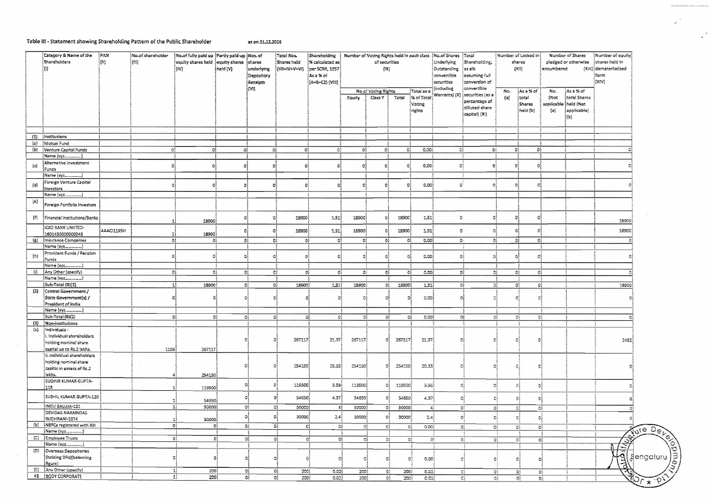## Table III - Statement showing Shareholding Pattern of the Public Shareholder

as on 31.12.2016

| Category & Name of the<br><b>Shareholders</b><br>lm. |                                                                                                   | PAN.<br>$\{B\}$ | No.of shareholder<br>$\{III\}$ | No.of fully paid up Partly paid-up Nos. of<br>equity shares held lequity shares<br>inv) | held (V)       | shares<br>underlying<br>Depository<br>Receipis<br>irvn | Total Nos.<br>Shares held<br>¦{VII=IV+V÷VI} | Shareholding $\parallel$ Number of Voting Rights held in each class $\parallel$ No.of Shares $\parallel$ Total<br>% calculated as<br>per SCRR, 1957<br>Asa%of<br>(A+B+C2) (V:S) |                  | of securities<br>{3X}          |                |                                                     | Underlying<br>Outstanding<br>convertible<br>securities<br>induding | Shareholding,<br>35 a%<br><b>Essuming full</b><br>conversion of<br>convertible |                  | Number of Locked in [<br>shares<br>[233]  | encombered                       | Number of Shares<br>pledged or otherwise                     | Mumber of equity<br>shares held in<br>(XI8) demateriialized<br>form<br>ltxtvs. |
|------------------------------------------------------|---------------------------------------------------------------------------------------------------|-----------------|--------------------------------|-----------------------------------------------------------------------------------------|----------------|--------------------------------------------------------|---------------------------------------------|---------------------------------------------------------------------------------------------------------------------------------------------------------------------------------|------------------|--------------------------------|----------------|-----------------------------------------------------|--------------------------------------------------------------------|--------------------------------------------------------------------------------|------------------|-------------------------------------------|----------------------------------|--------------------------------------------------------------|--------------------------------------------------------------------------------|
|                                                      |                                                                                                   |                 |                                |                                                                                         |                |                                                        |                                             |                                                                                                                                                                                 | Equity           | No of Voting Rights<br>Class Y | Total          | Total as a<br><b>K</b> of Total<br>Voting<br>rights | Warrants) (X)                                                      | securities (as a<br>percentage of<br>dilisted share<br>capital) (Xi)           | No.<br>$\{a\}$   | ¦Asa%of<br> total  <br>Shares<br>held (b) | No.<br>(Not<br>applicable<br>{a} | As a % of<br>total Shares<br>heid (Not<br>applicable)<br>(b) |                                                                                |
|                                                      | (1) institutions                                                                                  |                 |                                |                                                                                         |                |                                                        |                                             |                                                                                                                                                                                 |                  |                                |                |                                                     |                                                                    |                                                                                |                  |                                           |                                  |                                                              |                                                                                |
|                                                      | (a) Munual Fund                                                                                   |                 |                                |                                                                                         |                |                                                        |                                             |                                                                                                                                                                                 |                  |                                |                |                                                     |                                                                    |                                                                                |                  |                                           |                                  |                                                              |                                                                                |
|                                                      | (b) Venture Capital Funds                                                                         |                 |                                | c <sub>i</sub><br>ol                                                                    | ΩÌ             | 猜                                                      | $\mathbf{G}_3^2$                            | O.                                                                                                                                                                              | οì               | øł                             | ūĺ             | 0.001                                               |                                                                    | ĐÎ.<br>Gś                                                                      |                  | - OŠ<br>G)                                |                                  |                                                              |                                                                                |
|                                                      | Name (xyz)                                                                                        |                 |                                |                                                                                         |                |                                                        |                                             |                                                                                                                                                                                 |                  |                                |                |                                                     |                                                                    |                                                                                |                  |                                           |                                  |                                                              |                                                                                |
| $\{\epsilon\}$                                       | Alternative Investment                                                                            |                 | -ol                            | 0Î                                                                                      | зł             | ۵İ                                                     | $\Omega$                                    | $\Omega$                                                                                                                                                                        | $\Omega$         | þ.                             | ol             | -c.co)                                              |                                                                    | εł<br>e.                                                                       |                  | ol<br>O.                                  |                                  |                                                              |                                                                                |
|                                                      | Funds                                                                                             |                 |                                |                                                                                         |                |                                                        |                                             |                                                                                                                                                                                 |                  |                                |                |                                                     |                                                                    |                                                                                |                  |                                           |                                  |                                                              |                                                                                |
|                                                      | Name (xyz)                                                                                        |                 |                                |                                                                                         |                |                                                        |                                             |                                                                                                                                                                                 |                  |                                |                |                                                     |                                                                    |                                                                                |                  |                                           |                                  |                                                              |                                                                                |
| (d)                                                  | Foreign Venture Capital                                                                           |                 | ٥                              | ó                                                                                       | Đ.             | -ol                                                    | Đ,                                          | e                                                                                                                                                                               | -98              | oļ                             | -98            | രക്                                                 |                                                                    | $\sigma$<br>වේ                                                                 |                  | Ωi<br>Đ.                                  |                                  |                                                              |                                                                                |
|                                                      | investors                                                                                         |                 |                                |                                                                                         |                |                                                        |                                             |                                                                                                                                                                                 |                  |                                |                |                                                     |                                                                    |                                                                                |                  |                                           |                                  |                                                              |                                                                                |
|                                                      |                                                                                                   |                 |                                |                                                                                         |                |                                                        |                                             |                                                                                                                                                                                 |                  |                                |                |                                                     |                                                                    |                                                                                |                  |                                           |                                  |                                                              |                                                                                |
| (e)                                                  | Foreign Portfolio Investors                                                                       |                 |                                |                                                                                         |                |                                                        |                                             |                                                                                                                                                                                 |                  |                                |                |                                                     |                                                                    |                                                                                |                  |                                           |                                  |                                                              |                                                                                |
| 仍                                                    | Financial Institutions/Banks                                                                      |                 |                                | 18900<br>-11                                                                            | D              | O.                                                     | 18900                                       | 151                                                                                                                                                                             | 18900            | -Gi                            | 13900          | 1.52                                                |                                                                    | -23<br>$\mathbb{G}$                                                            |                  | - 24<br>-C                                |                                  |                                                              | 18900                                                                          |
|                                                      | <b>ICICI BANK LIMITED-</b>                                                                        | AAAC1195H       |                                |                                                                                         |                |                                                        |                                             |                                                                                                                                                                                 |                  |                                |                |                                                     |                                                                    | $\mathbf{G}^{\perp}$                                                           |                  | ٥Î<br>$\ddot{\mathbf{Q}}$                 |                                  |                                                              |                                                                                |
|                                                      | 1601430000000043                                                                                  |                 |                                | 18900<br>-11                                                                            | Ō.             | $\mathbf{G}$                                           | 18900                                       | 1.51                                                                                                                                                                            | 18900            | O.                             | 18308          | 1.51                                                |                                                                    | Đ,                                                                             |                  |                                           |                                  |                                                              | 18900                                                                          |
|                                                      | (g) {Insurance Companies                                                                          |                 |                                | ol.<br>Đį.                                                                              | ٥l             | -o)                                                    |                                             | oj.<br>oł                                                                                                                                                                       | $\Omega^0_0$     | $\mathbf{O}_i^3$               | - Oğ           | ೂಂ                                                  |                                                                    | $\mathbf{Q}$ .<br>$13\,$                                                       |                  | $\Omega^{\xi}$<br>Đ)                      |                                  |                                                              |                                                                                |
|                                                      |                                                                                                   |                 |                                |                                                                                         |                |                                                        |                                             |                                                                                                                                                                                 |                  |                                |                |                                                     |                                                                    |                                                                                |                  |                                           |                                  |                                                              |                                                                                |
| $\{h\}$                                              | Provident Funds / Pension                                                                         |                 |                                | Ωł<br>Δ                                                                                 | ۵İ             | O.                                                     | $\Omega$                                    | O                                                                                                                                                                               | O.               | $\Omega$                       | -9             | 0.00                                                |                                                                    | ٥į<br>$\mathbb{G}_3^3$                                                         |                  | ٥Î<br>Đ                                   |                                  |                                                              |                                                                                |
|                                                      | Funds<br>Mame (xy2___                                                                             |                 |                                |                                                                                         |                |                                                        |                                             |                                                                                                                                                                                 |                  |                                |                |                                                     |                                                                    |                                                                                |                  |                                           |                                  |                                                              |                                                                                |
| 司                                                    | Any Other (specify)                                                                               |                 |                                | O <sub>1</sub>                                                                          | ٥i<br>G,       |                                                        | 전용                                          | ΩÎ<br>oļ                                                                                                                                                                        | $\mathbf{G}_1^1$ | -O§                            | 퍼              | 0.03                                                |                                                                    | ał                                                                             | ೀ                | ٥Į<br>٥Į                                  |                                  |                                                              |                                                                                |
|                                                      |                                                                                                   |                 |                                |                                                                                         |                |                                                        |                                             |                                                                                                                                                                                 |                  |                                |                |                                                     |                                                                    |                                                                                |                  |                                           |                                  |                                                              |                                                                                |
|                                                      | Sub-Total (B)[1)                                                                                  |                 |                                | $\mathbf{1}$<br>18900                                                                   |                | o)                                                     | ĐÎ.<br>12500                                | 2.51                                                                                                                                                                            | 18900            |                                | ₿}<br>18900    | 2.52                                                |                                                                    | ٥Į                                                                             | Эļ               | -O)<br>-G)                                |                                  |                                                              | 18900)                                                                         |
|                                                      | [2] Central Government /                                                                          |                 |                                |                                                                                         |                |                                                        |                                             |                                                                                                                                                                                 |                  |                                |                |                                                     |                                                                    |                                                                                |                  |                                           |                                  |                                                              |                                                                                |
|                                                      | State Government(s) /<br>President of India                                                       |                 |                                | o                                                                                       | 者              | 钱                                                      |                                             |                                                                                                                                                                                 | 益                | o                              | $\Omega$       | 0.001                                               |                                                                    | G                                                                              | Ď.               | O.<br>$\alpha$                            |                                  |                                                              |                                                                                |
|                                                      |                                                                                                   |                 |                                |                                                                                         |                |                                                        |                                             |                                                                                                                                                                                 |                  |                                |                |                                                     |                                                                    |                                                                                |                  |                                           |                                  |                                                              |                                                                                |
|                                                      | Sub-Total (B)(2)                                                                                  |                 |                                | ٥Į                                                                                      | 0j             | øł                                                     | ĐÎ.                                         | G)<br>GŚ                                                                                                                                                                        | $\mathbb{G}_2^3$ |                                | e.<br>작        | 0.00                                                |                                                                    | O.                                                                             | Ωţ               | 發<br>-0j                                  |                                  |                                                              | л                                                                              |
|                                                      | (3) Non-institutions                                                                              |                 |                                |                                                                                         |                |                                                        |                                             |                                                                                                                                                                                 |                  |                                |                |                                                     |                                                                    |                                                                                |                  |                                           |                                  |                                                              |                                                                                |
| $\left\{ =\right\}$                                  | Individuals -<br>i. Individual shareholders<br>holding nominal share<br>capital up to Rs.2 lakhs. |                 | 1106                           |                                                                                         |                | O.                                                     | 267117<br>$\Omega$                          | 21.37                                                                                                                                                                           | 267117           |                                | 267117<br>OI.  | 21.37                                               |                                                                    | ٥ĭ                                                                             | Đ.               | Đ,<br>$\mathcal{O}$                       |                                  |                                                              | 2482                                                                           |
|                                                      | ii. Individual shareholders<br>holding nominal share                                              |                 |                                | 267117                                                                                  |                | ĐÌ                                                     | 254150<br>٥                                 | 20.33                                                                                                                                                                           | 254150           |                                | 254150)<br>۵ł  | 20.33}                                              |                                                                    | ٥i                                                                             | ō                | Q)<br>ė                                   |                                  |                                                              |                                                                                |
|                                                      | capital in excess of Rs.2<br>lakhs.                                                               |                 |                                | 254150<br>43                                                                            |                |                                                        |                                             |                                                                                                                                                                                 |                  |                                |                |                                                     |                                                                    |                                                                                |                  |                                           |                                  |                                                              |                                                                                |
|                                                      | <b>SUDHIR KUMAR GUPTA-</b>                                                                        |                 |                                |                                                                                         |                |                                                        |                                             |                                                                                                                                                                                 |                  |                                |                |                                                     |                                                                    |                                                                                |                  |                                           |                                  |                                                              |                                                                                |
|                                                      | 118                                                                                               |                 |                                | 119500<br>,                                                                             |                | оl                                                     | $\Omega$<br>129500                          | 9.56                                                                                                                                                                            | 119500           | Đ,                             | 119500         | 3.55                                                |                                                                    | ್ಮ<br>g)                                                                       |                  | $\circ$<br>್ತಿ                            |                                  |                                                              |                                                                                |
|                                                      | SUSHIL KUMAR GUPTA-120                                                                            |                 |                                | 54650<br>1                                                                              |                | ٥ł                                                     | 54550<br>$\mathbf{O}$                       | 4.37                                                                                                                                                                            | 54650            |                                | 54850<br>9Ì    | 4.37                                                |                                                                    | G.                                                                             | d                | G.<br>$\mathbf{c}$                        |                                  |                                                              |                                                                                |
|                                                      | INDU BALUJA-121                                                                                   |                 |                                | $\mathbf{1}$<br>50000                                                                   |                | Oł                                                     | Oł.<br>socco                                | ≝≬                                                                                                                                                                              | 50000            |                                | 야<br>50000     | $\Delta_3^2$                                        |                                                                    | $\mathbb{Q}_2^2$                                                               | $\mathbb{G}_i^2$ | ۵Î                                        | ĐÎ.                              |                                                              |                                                                                |
|                                                      | <b>DEVIDAS NARAINDAS</b>                                                                          |                 |                                |                                                                                         |                | ٥I                                                     | $\circ$<br>30000                            | 2.5                                                                                                                                                                             | 30000            | ٥l                             | 30000          | 2.4                                                 |                                                                    | oļ                                                                             | $\mathbb{C}^2$   | o,                                        |                                  |                                                              |                                                                                |
|                                                      | BUDHRANI-1074                                                                                     |                 |                                | 30000<br>31                                                                             |                |                                                        |                                             |                                                                                                                                                                                 |                  |                                |                |                                                     |                                                                    |                                                                                |                  | 移                                         |                                  |                                                              |                                                                                |
|                                                      | (b) NBFCs registered with RBI                                                                     |                 |                                | οļ                                                                                      | O,             | ٥l                                                     | ٥ł                                          | $\mathbb{C}$<br>-ci                                                                                                                                                             |                  | ٥ł                             | $\mathbf{C}^2$ | 0.001<br>$\mathbf{B}$                               |                                                                    | $\sigma_i$                                                                     | ್                | $\overline{\circ}$<br>$\mathbb{O}^1_2$    |                                  |                                                              | fure Del                                                                       |
|                                                      | Name (xyz_______)                                                                                 |                 |                                |                                                                                         |                |                                                        |                                             |                                                                                                                                                                                 |                  |                                |                |                                                     |                                                                    |                                                                                |                  |                                           |                                  |                                                              |                                                                                |
|                                                      | [C] Employee Trusts<br>Name (xyz                                                                  |                 |                                | $\overline{\mathfrak{a}}$                                                               | $\overline{c}$ | οį                                                     | -Oğ                                         | $\mathbf{c}$<br>OĴ.                                                                                                                                                             |                  | σĮ                             | $\mathbb{C}^1$ | -ci<br>$\mathfrak{B}^k$                             |                                                                    | $\mathbb{O}^{\ell}$                                                            | o)               | O,                                        | ٥ì                               |                                                              |                                                                                |
| (D)                                                  | Overseas Depositories                                                                             |                 |                                |                                                                                         |                |                                                        |                                             |                                                                                                                                                                                 |                  |                                |                |                                                     |                                                                    |                                                                                |                  |                                           |                                  |                                                              | 57                                                                             |
|                                                      | (holding DRs)(balancing<br>figure)                                                                |                 |                                | οi                                                                                      |                | ΩĬ                                                     | $\mathcal{D}_{\mathcal{A}}$<br>n.           | O                                                                                                                                                                               | Ø,               | Ġ                              | $\circ$        | 0.00                                                |                                                                    | ್ಟಿ                                                                            | Đ)               | ō<br>Ø                                    |                                  |                                                              | <b>Aengaluru</b>                                                               |
|                                                      | (E) Any Other (specify)                                                                           |                 |                                | 치<br>200                                                                                |                | -oj                                                    | 화<br>2001                                   | 0.02 <sub>2</sub>                                                                                                                                                               | 200              |                                | B}<br>200      | ್ಲಿಯ                                                |                                                                    | $\mathbb{C}^3_3$                                                               | $\mathbf{O}_3^1$ | ΩĮ                                        | ð,                               |                                                              | <b>ROCK</b>                                                                    |
|                                                      | 43   BODY CORPORATE                                                                               |                 |                                | $\mathbf{1}$<br>250                                                                     |                | ĐÎ<br>죄                                                |                                             |                                                                                                                                                                                 |                  |                                |                |                                                     |                                                                    |                                                                                |                  |                                           |                                  |                                                              |                                                                                |

.<br>Seveziariariaria calculaturaria

 $\mathcal{L}$ 

 $\mathcal{A}$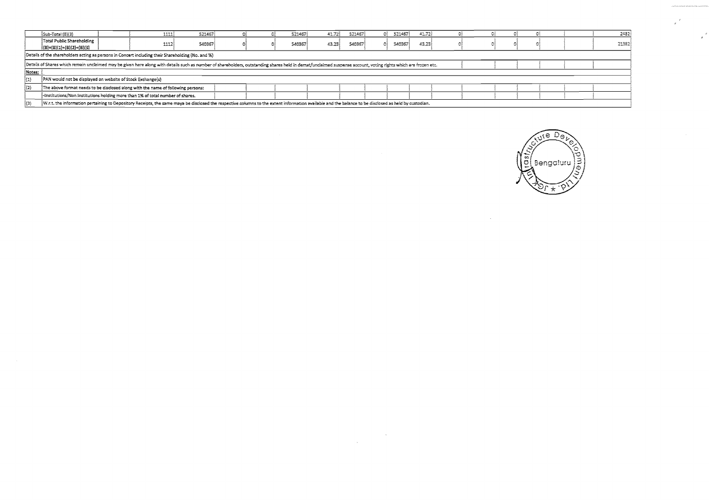|         | Sub-Total (B)(3)                                                                                                                                                                                               |  | 1111 | 521467 |  |  | 521467 | 41.72) | 521467 | 521457<br>Of | 41.72 |  |  |  |  | 2432  |
|---------|----------------------------------------------------------------------------------------------------------------------------------------------------------------------------------------------------------------|--|------|--------|--|--|--------|--------|--------|--------------|-------|--|--|--|--|-------|
|         | Total Public Shareholding<br>$ (B)=(B)(1)+(B)(2)+(B)(3)$                                                                                                                                                       |  | 111  | 540367 |  |  | 540367 | 43.23  | 540367 | 540367<br>GI | 43.23 |  |  |  |  | 21382 |
|         | Details of the shareholders acting as persons in Concert including their Shareholding (No. and %)                                                                                                              |  |      |        |  |  |        |        |        |              |       |  |  |  |  |       |
|         | Details of Shares which remain unclaimed may be given here along with details such as number of shareholders, outstanding shares held in demat/unclaimed suspense account, voting rights which are frozen etc. |  |      |        |  |  |        |        |        |              |       |  |  |  |  |       |
| Notes:  |                                                                                                                                                                                                                |  |      |        |  |  |        |        |        |              |       |  |  |  |  |       |
| $\{1\}$ | [PAN would not be displayed on website of Stock Exchange(s)                                                                                                                                                    |  |      |        |  |  |        |        |        |              |       |  |  |  |  |       |
| {(2)    | The above format needs to be disclosed along with the name of following persons:                                                                                                                               |  |      |        |  |  |        |        |        |              |       |  |  |  |  |       |
|         | -Institutions/Non Institutions holding more than 1% of total number of shares.                                                                                                                                 |  |      |        |  |  |        |        |        |              |       |  |  |  |  |       |
| [{3}    | W.r.t. the information pertaining to Depository Receipts, the same maya be disclosed the respective columns to the extent information available and the balance to be disclosed as held by custodian.          |  |      |        |  |  |        |        |        |              |       |  |  |  |  |       |

 $\label{eq:2.1} \frac{1}{\sqrt{2\pi}}\int_{0}^{\infty}\frac{1}{\sqrt{2\pi}}\left(\frac{1}{\sqrt{2\pi}}\right)^{2\alpha} \frac{1}{\sqrt{2\pi}}\,d\mu_{\alpha}^{2}$ 



 $\sim$ 

 $\frac{d}{dt}$